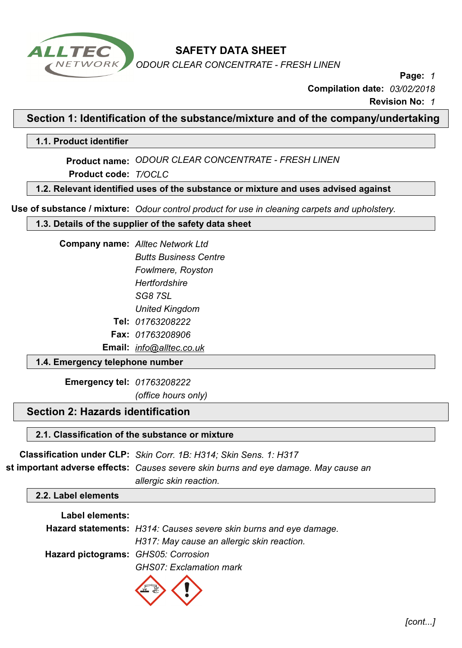

*ODOUR CLEAR CONCENTRATE - FRESH LINEN* 

**Page:** *1*

**Compilation date:** *03/02/2018*

**Revision No:** *1*

**Section 1: Identification of the substance/mixture and of the company/undertaking**

**1.1. Product identifier**

**Product name:** *ODOUR CLEAR CONCENTRATE - FRESH LINEN* 

**Product code:** *T/OCLC*

**1.2. Relevant identified uses of the substance or mixture and uses advised against**

**Use of substance / mixture:** *Odour control product for use in cleaning carpets and upholstery.* 

**1.3. Details of the supplier of the safety data sheet**

| <b>Company name:</b> Alltec Network Ltd |
|-----------------------------------------|
| <b>Butts Business Centre</b>            |
| Fowlmere, Royston                       |
| Hertfordshire                           |
| SG87SL                                  |
| <b>United Kingdom</b>                   |
| Tel: 01763208222                        |
| <b>Fax:</b> 01763208906                 |

**Email:** *info@alltec.co.uk*

### **1.4. Emergency telephone number**

**Emergency tel:** *01763208222*

*(office hours only)*

# **Section 2: Hazards identification**

### **2.1. Classification of the substance or mixture**

**Classification under CLP:** *Skin Corr. 1B: H314; Skin Sens. 1: H317* **st important adverse effects:** *Causes severe skin burns and eye damage. May cause an* 

*allergic skin reaction.* 

#### **2.2. Label elements**

#### **Label elements:**

|                                     | Hazard statements: H314: Causes severe skin burns and eye damage. |  |
|-------------------------------------|-------------------------------------------------------------------|--|
|                                     | H317: May cause an allergic skin reaction.                        |  |
| Hazard pictograms: GHS05: Corrosion |                                                                   |  |
|                                     | <b>GHS07: Exclamation mark</b>                                    |  |

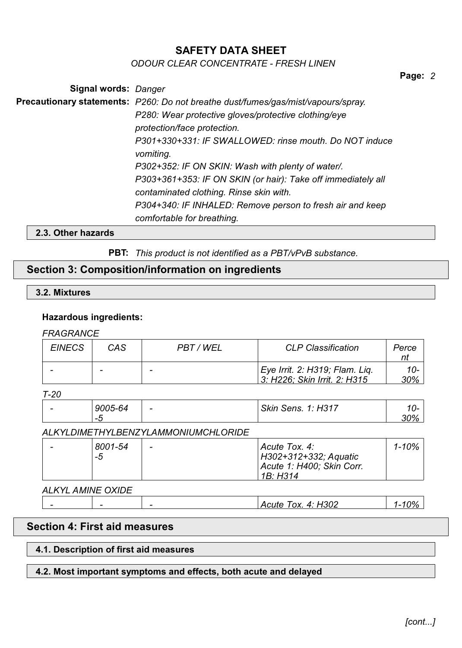### *ODOUR CLEAR CONCENTRATE - FRESH LINEN*

**Page:** *2*

**Signal words:** *Danger* **Precautionary statements:** *P260: Do not breathe dust/fumes/gas/mist/vapours/spray. P280: Wear protective gloves/protective clothing/eye protection/face protection. P301+330+331: IF SWALLOWED: rinse mouth. Do NOT induce vomiting. P302+352: IF ON SKIN: Wash with plenty of water/. P303+361+353: IF ON SKIN (or hair): Take off immediately all contaminated clothing. Rinse skin with. P304+340: IF INHALED: Remove person to fresh air and keep comfortable for breathing.*

#### **2.3. Other hazards**

**PBT:** *This product is not identified as a PBT/vPvB substance.*

## **Section 3: Composition/information on ingredients**

#### **3.2. Mixtures**

#### **Hazardous ingredients:**

#### *FRAGRANCE*

| <b>EINECS</b> | CAS | PBT / WEL                | <b>CLP Classification</b>                                      | Perce           |
|---------------|-----|--------------------------|----------------------------------------------------------------|-----------------|
|               |     | $\overline{\phantom{0}}$ | Eye Irrit. 2: H319; Flam. Lig.<br>3: H226: Skin Irrit. 2: H315 | $10-$<br>$30\%$ |

#### *T-20*

| - - -                    |         |   |                                                              |     |
|--------------------------|---------|---|--------------------------------------------------------------|-----|
| $\overline{\phantom{a}}$ | 9005-64 | - | <b>Skin</b><br>. H317<br>$\sim$ $\sim$<br>Sens.<br><u>п.</u> |     |
|                          | — — —   |   |                                                              | 30% |

### *ALKYLDIMETHYLBENZYLAMMONIUMCHLORIDE*

| 8001-54 | - | Acute Tox. 4:             | 1-10% |
|---------|---|---------------------------|-------|
| $-5$    |   | H302+312+332; Aquatic     |       |
|         |   | Acute 1: H400; Skin Corr. |       |
|         |   | 1B: H314                  |       |

*ALKYL AMINE OXIDE*

|  | 1302<br>OX.<br>$\mathbf{A}$<br>$\mathbf{a}$<br>:111e | <b>no</b><br>70 |
|--|------------------------------------------------------|-----------------|
|  |                                                      |                 |

# **Section 4: First aid measures**

#### **4.1. Description of first aid measures**

#### **4.2. Most important symptoms and effects, both acute and delayed**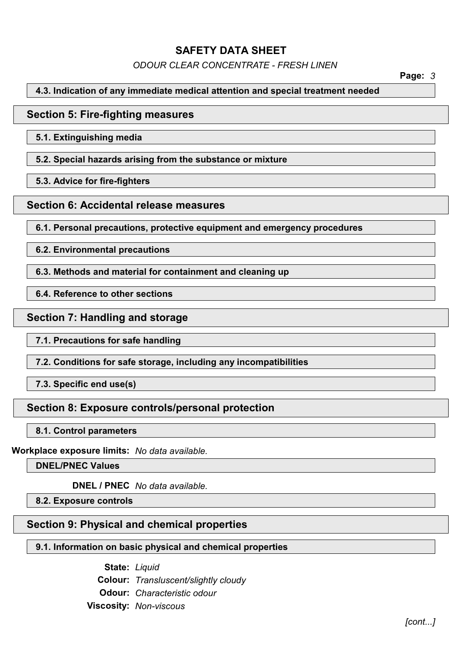*ODOUR CLEAR CONCENTRATE - FRESH LINEN* 

**Page:** *3*

## **4.3. Indication of any immediate medical attention and special treatment needed**

## **Section 5: Fire-fighting measures**

**5.1. Extinguishing media**

**5.2. Special hazards arising from the substance or mixture**

**5.3. Advice for fire-fighters**

## **Section 6: Accidental release measures**

**6.1. Personal precautions, protective equipment and emergency procedures**

**6.2. Environmental precautions**

**6.3. Methods and material for containment and cleaning up**

**6.4. Reference to other sections**

# **Section 7: Handling and storage**

**7.1. Precautions for safe handling**

**7.2. Conditions for safe storage, including any incompatibilities**

**7.3. Specific end use(s)**

# **Section 8: Exposure controls/personal protection**

**8.1. Control parameters**

**Workplace exposure limits:** *No data available.*

**DNEL/PNEC Values**

**DNEL / PNEC** *No data available.*

**8.2. Exposure controls**

# **Section 9: Physical and chemical properties**

# **9.1. Information on basic physical and chemical properties**

**State:** *Liquid*  **Colour:** *Transluscent/slightly cloudy*  **Odour:** *Characteristic odour*  **Viscosity:** *Non-viscous*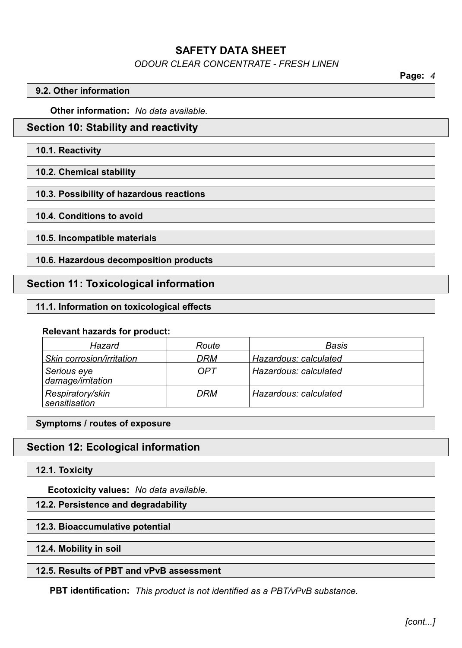## *ODOUR CLEAR CONCENTRATE - FRESH LINEN*

**Page:** *4*

#### **9.2. Other information**

**Other information:** *No data available.*

## **Section 10: Stability and reactivity**

#### **10.1. Reactivity**

**10.2. Chemical stability**

#### **10.3. Possibility of hazardous reactions**

**10.4. Conditions to avoid**

**10.5. Incompatible materials**

**10.6. Hazardous decomposition products**

# **Section 11: Toxicological information**

#### **11.1. Information on toxicological effects**

#### **Relevant hazards for product:**

| Hazard                            | Route      | Basis                 |
|-----------------------------------|------------|-----------------------|
| Skin corrosion/irritation         | DRM        | Hazardous: calculated |
| Serious eye<br>damage/irritation  | <b>OPT</b> | Hazardous: calculated |
| Respiratory/skin<br>sensitisation | <b>DRM</b> | Hazardous: calculated |

**Symptoms / routes of exposure**

# **Section 12: Ecological information**

#### **12.1. Toxicity**

**Ecotoxicity values:** *No data available.*

**12.2. Persistence and degradability**

#### **12.3. Bioaccumulative potential**

#### **12.4. Mobility in soil**

### **12.5. Results of PBT and vPvB assessment**

**PBT identification:** *This product is not identified as a PBT/vPvB substance.*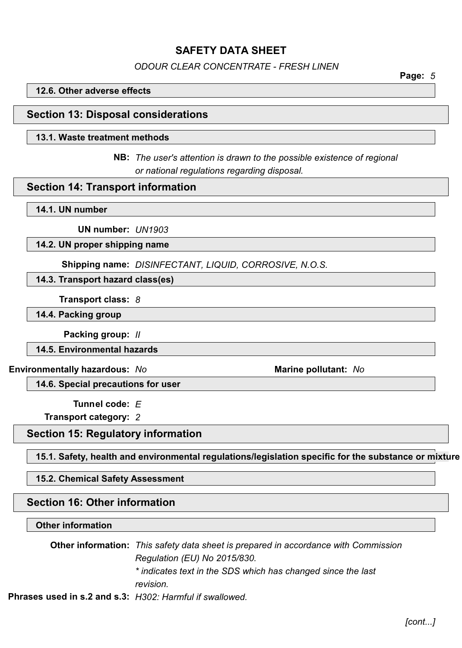*ODOUR CLEAR CONCENTRATE - FRESH LINEN* 

**Page:** *5*

#### **12.6. Other adverse effects**

### **Section 13: Disposal considerations**

#### **13.1. Waste treatment methods**

**NB:** *The user's attention is drawn to the possible existence of regional or national regulations regarding disposal.* 

#### **Section 14: Transport information**

#### **14.1. UN number**

**UN number:** *UN1903*

#### **14.2. UN proper shipping name**

**Shipping name:** *DISINFECTANT, LIQUID, CORROSIVE, N.O.S.*

#### **14.3. Transport hazard class(es)**

**Transport class:** *8*

**14.4. Packing group**

**Packing group:** *II*

**14.5. Environmental hazards**

**Environmentally hazardous:** *No* **Marine pollutant:** *No*

**14.6. Special precautions for user**

**Tunnel code:** *E*

**Transport category:** *2*

# **Section 15: Regulatory information**

**15.1. Safety, health and environmental regulations/legislation specific for the substance or mixture**

#### **15.2. Chemical Safety Assessment**

## **Section 16: Other information**

#### **Other information**

**Other information:** *This safety data sheet is prepared in accordance with Commission Regulation (EU) No 2015/830. \* indicates text in the SDS which has changed since the last revision.*

**Phrases used in s.2 and s.3:** *H302: Harmful if swallowed.*